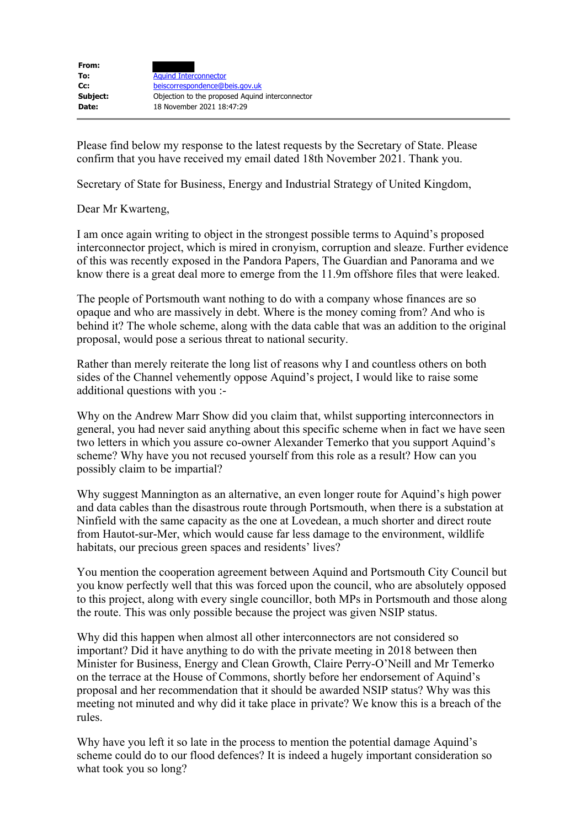| From:    |                                                 |
|----------|-------------------------------------------------|
| To:      | <b>Aquind Interconnector</b>                    |
| $Cc$ :   | beiscorrespondence@beis.gov.uk                  |
| Subject: | Objection to the proposed Aquind interconnector |
| Date:    | 18 November 2021 18:47:29                       |

Please find below my response to the latest requests by the Secretary of State. Please confirm that you have received my email dated 18th November 2021. Thank you.

Secretary of State for Business, Energy and Industrial Strategy of United Kingdom,

Dear Mr Kwarteng,

I am once again writing to object in the strongest possible terms to Aquind's proposed interconnector project, which is mired in cronyism, corruption and sleaze. Further evidence of this was recently exposed in the Pandora Papers, The Guardian and Panorama and we know there is a great deal more to emerge from the 11.9m offshore files that were leaked.

The people of Portsmouth want nothing to do with a company whose finances are so opaque and who are massively in debt. Where is the money coming from? And who is behind it? The whole scheme, along with the data cable that was an addition to the original proposal, would pose a serious threat to national security.

Rather than merely reiterate the long list of reasons why I and countless others on both sides of the Channel vehemently oppose Aquind's project, I would like to raise some additional questions with you :-

Why on the Andrew Marr Show did you claim that, whilst supporting interconnectors in general, you had never said anything about this specific scheme when in fact we have seen two letters in which you assure co-owner Alexander Temerko that you support Aquind's scheme? Why have you not recused yourself from this role as a result? How can you possibly claim to be impartial?

Why suggest Mannington as an alternative, an even longer route for Aquind's high power and data cables than the disastrous route through Portsmouth, when there is a substation at Ninfield with the same capacity as the one at Lovedean, a much shorter and direct route from Hautot-sur-Mer, which would cause far less damage to the environment, wildlife habitats, our precious green spaces and residents' lives?

You mention the cooperation agreement between Aquind and Portsmouth City Council but you know perfectly well that this was forced upon the council, who are absolutely opposed to this project, along with every single councillor, both MPs in Portsmouth and those along the route. This was only possible because the project was given NSIP status.

Why did this happen when almost all other interconnectors are not considered so important? Did it have anything to do with the private meeting in 2018 between then Minister for Business, Energy and Clean Growth, Claire Perry-O'Neill and Mr Temerko on the terrace at the House of Commons, shortly before her endorsement of Aquind's proposal and her recommendation that it should be awarded NSIP status? Why was this meeting not minuted and why did it take place in private? We know this is a breach of the rules.

Why have you left it so late in the process to mention the potential damage Aquind's scheme could do to our flood defences? It is indeed a hugely important consideration so what took you so long?